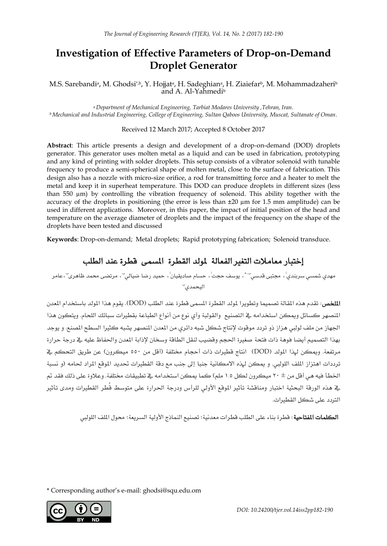# **Investigation of Effective Parameters of Drop-on-Demand Droplet Generator**

M.S. Sarebandiª, M. Ghodsi\*,b Y. Hojjatª, H. Sadeghianª, H. Ziaiefarʰ, M. Mohammadzaheriʰ and A. Al-Yahmedi<sup>b</sup>

*<sup>a</sup> Department of Mechanical Engineering, Tarbiat Modares University ,Tehran, Iran. <sup>b</sup> Mechanical and Industrial Engineering, College of Engineering, Sultan Qaboos University, Muscat, Sultanate of Oman.*

#### Received 12 March 2017; Accepted 8 October 2017

**Abstract**: This article presents a design and development of a drop-on-demand (DOD) droplets generator. This generator uses molten metal as a liquid and can be used in fabrication, prototyping and any kind of printing with solder droplets. This setup consists of a vibrator solenoid with tunable frequency to produce a semi-spherical shape of molten metal, close to the surface of fabrication. This design also has a nozzle with micro-size orifice, a rod for transmitting force and a heater to melt the metal and keep it in superheat temperature. This DOD can produce droplets in different sizes (less than 550  $\mu$ m) by controlling the vibration frequency of solenoid. This ability together with the accuracy of the droplets in positioning (the error is less than ±20 µm for 1.5 mm amplitude) can be used in different applications. Moreover, in this paper, the impact of initial position of the head and temperature on the average diameter of droplets and the impact of the frequency on the shape of the droplets have been tested and discussed

**Keywords**: Drop-on-demand; Metal droplets; Rapid prototyping fabrication; Solenoid transduce.

# إختبار معامالت التغري الفعالة ملولد القطرة املسمى قطرة عند الطلب

مهدي شم*سي س*ربندي<sup>ا</sup>، مجتب*ى* قدس*ى-*'' ٞ، يوسف حجت<sup>ا</sup> ، حسام صاديقيان<sup>ا</sup> ، حميد رضا ضيال*ى*<sup>-</sup> ، مرتضى محمد ظاهرى'' ، عامر اليحمدي<sup>ب</sup>

الملخص: تقدم هذه المقالة تصميما وتطويرا لمولد القطرة المسمى قطرة عند الطلب (DOD). يقوم هذا المولد باستخدام المدن املنصهر كسائل وميكن استخدامه يف التصنيع والقولبة وأي نوع من أنواع الطباعة بقطريات سبائك اللحام. ويتكون هذا الجهاز من ملف لولبي هزاز ذو تردد موقوت لإنتاج شكل شبه دائري من المعدن المنصهر يشبه كثيرا السطح المصنع. و يوجد بهذا التصميم أيضا فوهة ذات فتحة صغرية احلجم وقضيب لنقل الطاقة وسخان إلذابة املعدن واحلفاظ عليه يف درجة حرارة مرتفعة. وبمكن لهذا المولد (DOD) انتاج قطيرات ذات أحجام مختلفة (أقل من ٥٥٠ ميكرون) عن طريق التحكم ي ترددات اهتزاز الملف اللولبي. و يمكن لهذه الامكانية جنبا إلى جنب مع دقة القطيرات تحديد الموقع المراد لحامه (و نسبة الخطأ فيه هي أقل من ± ٢٠ ميكرون لكل ١.٥ ملم) كما يمكن استخدامه في تطبيقات مختلفة. وعلاوة على ذلك فقد تم يخ هذه الورقة البحثية اختبار ومناقشة تأثير الموقع الأولى للرأس ودرجة الحرارة على متوسط قُطر القطيرات ومدى تأثير الرتدد على شكل القطريات.

ا**لكلمات المقتاحية**: قطرة بناء على الطلب قطرات معدنية؛ تصنيع النماذج الأولية السريعة؛ محول الملف اللوليي

\* Corresponding author's e-mail: [ghodsi@squ.edu.om](mailto:ghodsi@squ.edu.om)



 *DOI: 10.24200/tjer.vol.14iss2pp182-190*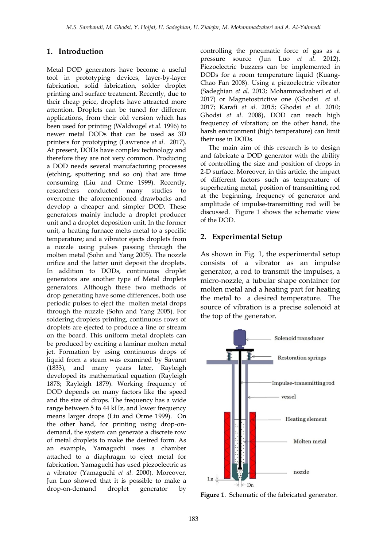# **1. Introduction**

Metal DOD generators have become a useful tool in prototyping devices, layer-by-layer fabrication, solid fabrication, solder droplet printing and surface treatment. Recently, due to their cheap price, droplets have attracted more attention. Droplets can be tuned for different applications, from their old version which has been used for printing (Waldvogel *et al.* 1996) to newer metal DODs that can be used as 3D printers for prototyping (Lawrence *et al*. 2017). At present, DODs have complex technology and therefore they are not very common. Producing a DOD needs several manufacturing processes (etching, sputtering and so on) that are time consuming (Liu and Orme 1999). Recently, researchers conducted many studies to overcome the aforementioned drawbacks and develop a cheaper and simpler DOD. These generators mainly include a droplet producer unit and a droplet deposition unit. In the former unit, a heating furnace melts metal to a specific temperature; and a vibrator ejects droplets from a nozzle using pulses passing through the molten metal (Sohn and Yang 2005). The nozzle orifice and the latter unit deposit the droplets. In addition to DODs, continuous droplet generators are another type of Metal droplets generators. Although these two methods of drop generating have some differences, both use periodic pulses to eject the molten metal drops through the nuzzle (Sohn and Yang 2005). For soldering droplets printing, continuous rows of droplets are ejected to produce a line or stream on the board. This uniform metal droplets can be produced by exciting a laminar molten metal jet. Formation by using continuous drops of liquid from a steam was examined by Savarat (1833), and many years later, Rayleigh developed its mathematical equation (Rayleigh 1878; Rayleigh 1879). Working frequency of DOD depends on many factors like the speed and the size of drops. The frequency has a wide range between 5 to 44 kHz, and lower frequency means larger drops (Liu and Orme 1999). On the other hand, for printing using drop-ondemand, the system can generate a discrete row of metal droplets to make the desired form. As an example, Yamaguchi uses a chamber attached to a diaphragm to eject metal for fabrication. Yamaguchi has used piezoelectric as a vibrator (Yamaguchi *et al*. 2000). Moreover, Jun Luo showed that it is possible to make a drop-on-demand droplet generator by

controlling the pneumatic force of gas as a pressure source (Jun Luo *et al*. 2012). Piezoelectric buzzers can be implemented in DODs for a room temperature liquid (Kuang-Chao Fan 2008). Using a piezoelectric vibrator (Sadeghian *et al*. 2013; Mohammadzaheri *et al*. 2017) or Magnetostrictive one (Ghodsi *et al*. 2017; Karafi *et al*. 2015; Ghodsi *et al.* 2010; Ghodsi *et al*. 2008), DOD can reach high frequency of vibration; on the other hand, the harsh environment (high temperature) can limit their use in DODs.

 The main aim of this research is to design and fabricate a DOD generator with the ability of controlling the size and position of drops in 2-D surface. Moreover, in this article, the impact of different factors such as temperature of superheating metal, position of transmitting rod at the beginning, frequency of generator and amplitude of impulse-transmitting rod will be discussed. [Figure 1](#page-1-0) shows the schematic view of the DOD.

#### **2. Experimental Setup**

As shown in Fig. 1, the experimental setup consists of a vibrator as an impulse generator, a rod to transmit the impulses, a micro-nozzle, a tubular shape container for molten metal and a heating part for heating the metal to a desired temperature. The source of vibration is a precise solenoid at the top of the generator.



<span id="page-1-0"></span>**Figure 1**. Schematic of the fabricated generator.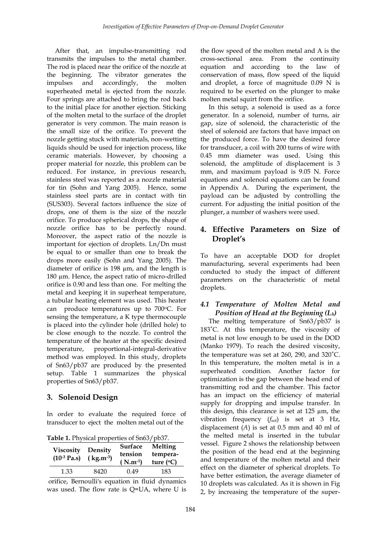After that, an impulse-transmitting rod transmits the impulses to the metal chamber. The rod is placed near the orifice of the nozzle at the beginning. The vibrator generates the impulses and accordingly, the molten superheated metal is ejected from the nozzle. Four springs are attached to bring the rod back to the initial place for another ejection. Sticking of the molten metal to the surface of the droplet generator is very common. The main reason is the small size of the orifice. To prevent the nozzle getting stuck with materials, non-wetting liquids should be used for injection process, like ceramic materials. However, by choosing a proper material for nozzle, this problem can be reduced. For instance, in previous research, stainless steel was reported as a nozzle material for tin (Sohn and Yang 2005). Hence, some stainless steel parts are in contact with tin (SUS303). Several factors influence the size of drops, one of them is the size of the nozzle orifice. To produce spherical drops, the shape of nozzle orifice has to be perfectly round. Moreover, the aspect ratio of the nozzle is important for ejection of droplets. Ln/Dn must be equal to or smaller than one to break the drops more easily (Sohn and Yang 2005). The diameter of orifice is 198 µm, and the length is 180 µm. Hence, the aspect ratio of micro-drilled orifice is 0.90 and less than one. For melting the metal and keeping it in superheat temperature, a tubular heating element was used. This heater can produce temperatures up to 700 °C. For sensing the temperature, a K type thermocouple is placed into the cylinder hole (drilled hole) to be close enough to the nozzle. To control the temperature of the heater at the specific desired temperature, proportional-integral-derivative method was employed. In this study, droplets of Sn63/pb37 are produced by the presented setup. Table 1 summarizes the physical properties of Sn63/pb37.

# **3. Solenoid Design**

In order to evaluate the required force of transducer to eject the molten metal out of the

**Table 1.** Physical properties of Sn63/pb37.

| <b>Viscosity</b><br>$(10^{-3}$ Pa.s) | Density<br>$(kg.m^{-3})$ | Surface<br>tension<br>$(N.m-1)$ | Melting<br>tempera-<br>ture $(°C)$ |
|--------------------------------------|--------------------------|---------------------------------|------------------------------------|
| 1.33                                 | 8420                     | 0.49                            | 183                                |

orifice, Bernoulli's equation in fluid dynamics was used. The flow rate is Q=UA, where U is

the flow speed of the molten metal and A is the cross-sectional area. From the continuity equation and according to the law of conservation of mass, flow speed of the liquid and droplet, a force of magnitude 0.09 N is required to be exerted on the plunger to make molten metal squirt from the orifice.

 In this setup, a solenoid is used as a force generator. In a solenoid, number of turns, air gap, size of solenoid, the characteristic of the steel of solenoid are factors that have impact on the produced force. To have the desired force for transducer, a coil with 200 turns of wire with 0.45 mm diameter was used. Using this solenoid, the amplitude of displacement is 3 mm, and maximum payload is 9.05 N. Force equations and solenoid equations can be found in Appendix A. During the experiment, the payload can be adjusted by controlling the current. For adjusting the initial position of the plunger, a number of washers were used.

# **4. Effective Parameters on Size of Droplet's**

To have an acceptable DOD for droplet manufacturing, several experiments had been conducted to study the impact of different parameters on the characteristic of metal droplets.

# *4.1 Temperature of Molten Metal and Position of Head at the Beginning (Lh)*

 The melting temperature of Sn63/pb37 is 183˚C. At this temperature, the viscosity of metal is not low enough to be used in the DOD (Manko 1979). To reach the desired viscosity, the temperature was set at 260, 290, and 320˚C. In this temperature, the molten metal is in a superheated condition. Another factor for optimization is the gap between the head end of transmitting rod and the chamber. This factor has an impact on the efficiency of material supply for dropping and impulse transfer. In this design, this clearance is set at 125 µm, the vibration frequency (*f*<sub>sol</sub>) is set at 3 Hz, displacement (*A*) is set at 0.5 mm and 40 ml of the melted metal is inserted in the tubular vessel. Figure 2 shows the relationship between the position of the head end at the beginning and temperature of the molten metal and their effect on the diameter of spherical droplets. To have better estimation, the average diameter of 10 droplets was calculated. As it is shown in Fig 2, by increasing the temperature of the super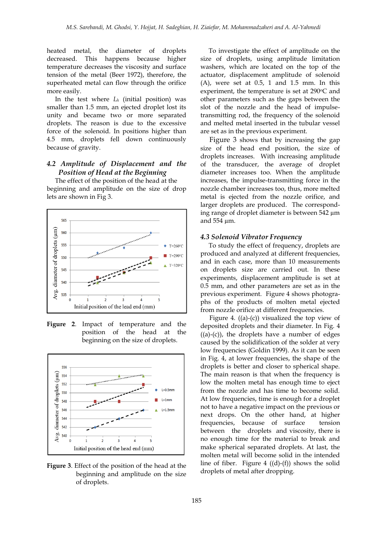heated metal, the diameter of droplets decreased. This happens because higher temperature decreases the viscosity and surface tension of the metal (Beer 1972), therefore, the superheated metal can flow through the orifice more easily.

 In the test where *L<sup>h</sup>* (initial position) was smaller than 1.5 mm, an ejected droplet lost its unity and became two or more separated droplets. The reason is due to the excessive force of the solenoid. In positions higher than 4.5 mm, droplets fell down continuously because of gravity.

# *4.2 Amplitude of Displacement and the Position of Head at the Beginning*

 The effect of the position of the head at the beginning and amplitude on the size of drop lets are shown in Fig 3.



**Figure 2**. Impact of temperature and the position of the head at the beginning on the size of droplets.



**Figure 3**. Effect of the position of the head at the beginning and amplitude on the size of droplets.

 To investigate the effect of amplitude on the size of droplets, using amplitude limitation washers, which are located on the top of the actuator, displacement amplitude of solenoid  $(A)$ , were set at 0.5, 1 and 1.5 mm. In this experiment, the temperature is set at 290°C and other parameters such as the gaps between the slot of the nozzle and the head of impulsetransmitting rod, the frequency of the solenoid and melted metal inserted in the tubular vessel are set as in the previous experiment.

 Figure 3 shows that by increasing the gap size of the head end position, the size of droplets increases. With increasing amplitude of the transducer, the average of droplet diameter increases too. When the amplitude increases, the impulse-transmitting force in the nozzle chamber increases too, thus, more melted metal is ejected from the nozzle orifice, and larger droplets are produced. The corresponding range of droplet diameter is between 542 µm and 554 µm.

#### *4.3 Solenoid Vibrator Frequency*

 To study the effect of frequency, droplets are produced and analyzed at different frequencies, and in each case, more than 10 measurements on droplets size are carried out. In these experiments, displacement amplitude is set at 0.5 mm, and other parameters are set as in the previous experiment. Figure 4 shows photographs of the products of molten metal ejected from nozzle orifice at different frequencies.

Figure 4.  $((a)-(c))$  visualized the top view of deposited droplets and their diameter. In Fig. 4  $((a)-(c))$ , the droplets have a number of edges caused by the solidification of the solder at very low frequencies (Goldin 1999). As it can be seen in Fig. 4, at lower frequencies, the shape of the droplets is better and closer to spherical shape. The main reason is that when the frequency is low the molten metal has enough time to eject from the nozzle and has time to become solid. At low frequencies, time is enough for a droplet not to have a negative impact on the previous or next drops. On the other hand, at higher frequencies, because of surface tension between the droplets and viscosity, there is no enough time for the material to break and make spherical separated droplets. At last, the molten metal will become solid in the intended line of fiber. Figure 4  $((d)-(f))$  shows the solid droplets of metal after dropping.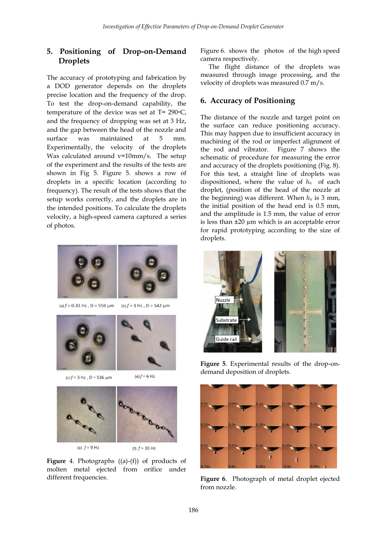# **5. Positioning of Drop-on-Demand Droplets**

The accuracy of prototyping and fabrication by a DOD generator depends on the droplets precise location and the frequency of the drop. To test the drop-on-demand capability, the temperature of the device was set at  $T = 290$ °C, and the frequency of dropping was set at 3 Hz, and the gap between the head of the nozzle and surface was maintained at 5 mm. Experimentally, the velocity of the droplets Was calculated around v=10mm/s. The setup of the experiment and the results of the tests are shown in Fig 5. Figure 5. shows a row of droplets in a specific location (according to frequency). The result of the tests shows that the setup works correctly, and the droplets are in the intended positions. To calculate the droplets velocity, a high-speed camera captured a series of photos.



(a)  $f = 0.33$  Hz, D = 558 µm (b)  $f = 1$  Hz, D = 542 µm





(d)  $f = 6$  Hz



**Figure** 4. Photographs ((a)-(f)) of products of molten metal ejected from orifice under different frequencies.

Figure 6. shows the photos of the high speed camera respectively.

 The flight distance of the droplets was measured through image processing, and the velocity of droplets was measured 0.7 m/s.

### **6. Accuracy of Positioning**

The distance of the nozzle and target point on the surface can reduce positioning accuracy. This may happen due to insufficient accuracy in machining of the rod or imperfect alignment of the rod and vibrator. Figure 7 shows the schematic of procedure for measuring the error and accuracy of the droplets positioning (Fig. 8). For this test, a straight line of droplets was dispositioned, where the value of *hn* of each droplet, (position of the head of the nozzle at the beginning) was different. When  $h_n$  is 3 mm, the initial position of the head end is 0.5 mm, and the amplitude is 1.5 mm, the value of error is less than ±20 µm which is an acceptable error for rapid prototyping according to the size of droplets.



**Figure 5**. Experimental results of the drop-ondemand deposition of droplets.



**Figure 6**. Photograph of metal droplet ejected from nozzle.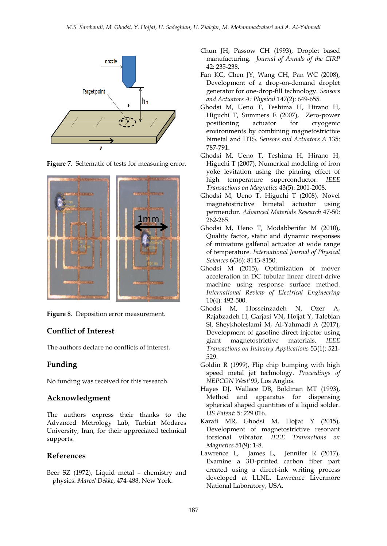







### **Conflict of Interest**

The authors declare no conflicts of interest.

# **Funding**

No funding was received for this research.

### **Acknowledgment**

The authors express their thanks to the Advanced Metrology Lab, Tarbiat Modares University, Iran, for their appreciated technical supports.

### **References**

Beer SZ (1972), Liquid metal – chemistry and physics. *Marcel Dekke*, 474-488, New York.

- Chun JH, Passow CH (1993), Droplet based manufacturing. *Journal of Annals of the CIRP* 42: 235-238.
- Fan KC, Chen JY, Wang CH, Pan WC (2008), Development of a drop-on-demand droplet generator for one-drop-fill technology. *Sensors and Actuators A: Physical* 147(2): 649-655.
- Ghodsi M, Ueno T, Teshima H, Hirano H, Higuchi T, Summers E (2007), Zero-power positioning actuator for cryogenic environments by combining magnetostrictive bimetal and HTS. *Sensors and Actuators A* 135: 787-791.
- Ghodsi M, Ueno T, Teshima H, Hirano H, Higuchi T (2007), Numerical modeling of iron yoke levitation using the pinning effect of high temperature superconductor. *IEEE Transactions on Magnetics* 43(5): 2001-2008.
- Ghodsi M, Ueno T, Higuchi T (2008), Novel magnetostrictive bimetal actuator using permendur. *Advanced Materials Research* 47-50: 262-265.
- Ghodsi M, Ueno T, Modabberifar M (2010), Quality factor, static and dynamic responses of miniature galfenol actuator at wide range of temperature. *International Journal of Physical Sciences* 6(36): 8143-8150.
- Ghodsi M (2015), Optimization of mover acceleration in DC tubular linear direct-drive machine using response surface method. *International Review of Electrical Engineering* 10(4): 492-500.
- Ghodsi M, Hosseinzadeh N, Ozer A, Rajabzadeh H, Garjasi VN, Hojjat Y, Talebian Sl, Sheykholeslami M, Al-Yahmadi A (2017), Development of gasoline direct injector using giant magnetostrictive materials. *IEEE Transactions on Industry Applications* 53(1): 521- 529.
- Goldin R (1999), Flip chip bumping with high speed metal jet technology. *Proceedings of NEPCON West'99*, Los Anglos.
- Hayes DJ, Wallace DB, Boldman MT (1993), Method and apparatus for dispensing spherical shaped quantities of a liquid solder. *US Patent*: 5: 229 016.
- Karafi MR, Ghodsi M, Hojjat Y (2015), Development of magnetostrictive resonant torsional vibrator. *IEEE Transactions on Magnetics* 51(9): 1-8.
- Lawrence L, James L, Jennifer R (2017), Examine a 3D-printed carbon fiber part created using a direct-ink writing process developed at LLNL. Lawrence Livermore National Laboratory, USA.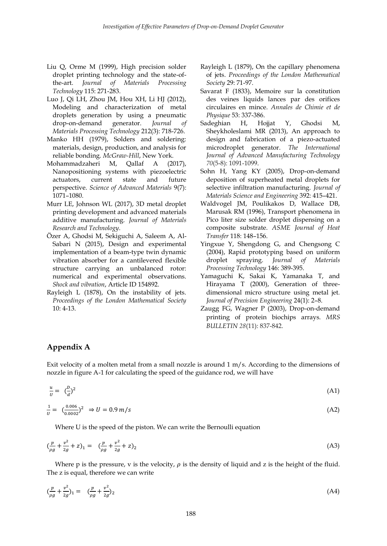- Liu Q, Orme M (1999), High precision solder droplet printing technology and the state-ofthe-art. *Journal of Materials Processing Technology* 115: 271-283.
- Luo J, Qi LH, Zhou JM, Hou XH, Li HJ (2012), Modeling and characterization of metal droplets generation by using a pneumatic drop-on-demand generator. *Journal of Materials Processing Technology* 212(3): 718-726.
- Manko HH (1979), Solders and soldering: materials, design, production, and analysis for reliable bonding. *McGraw-Hill*, New York.
- Mohammadzaheri M, Qallaf A (2017), Nanopositioning systems with piezoelectric actuators, current state and future perspective. *Science of Advanced Materials* 9(7): 1071–1080.
- Murr LE, Johnson WL (2017), 3D metal droplet printing development and advanced materials additive manufacturing. *Journal of Materials Research and Technology*.
- Özer A, Ghodsi M, Sekiguchi A, Saleem A, Al-Sabari N (2015), Design and experimental implementation of a beam-type twin dynamic vibration absorber for a cantilevered flexible structure carrying an unbalanced rotor: numerical and experimental observations. *Shock and vibration*, Article ID 154892.
- Rayleigh L (1878), On the instability of jets. *Proceedings of the London Mathematical Society*  10: 4-13.
- Rayleigh L (1879), On the capillary phenomena of jets. *Proceedings of the London Mathematical Society* 29: 71-97.
- Savarat F (1833), Memoire sur la constitution des veines liquids lances par des orifices circulaires en mince. *Annales de Chimie et de Physique* 53: 337-386.
- Sadeghian H, Hojjat Y, Ghodsi M, Sheykholeslami MR (2013), An approach to design and fabrication of a piezo-actuated microdroplet generator. *The International Journal of Advanced Manufacturing Technology 70*(5-8): 1091-1099.
- Sohn H, Yang KY (2005), Drop-on-demand deposition of superheated metal droplets for selective infiltration manufacturing. *Journal of Materials Science and Engineering* 392: 415–421.
- Waldvogel JM, Poulikakos D, Wallace DB, Marusak RM (1996), Transport phenomena in Pico liter size solder droplet dispensing on a composite substrate. *ASME Journal of Heat Transfer* 118: 148–156.
- Yingxue Y, Shengdong G, and Chengsong C (2004), Rapid prototyping based on uniform droplet spraying. *Journal of Materials Processing Technology* 146: 389-395.
- Yamaguchi K, Sakai K, Yamanaka T, and Hirayama T (2000), Generation of threedimensional micro structure using metal jet. *Journal of Precision Engineering* 24(1): 2–8.
- Zaugg FG, Wagner P (2003), Drop-on-demand printing of protein biochips arrays. *MRS BULLETIN 28*(11): 837-842.

# **Appendix A**

Exit velocity of a molten metal from a small nozzle is around 1 m/s. According to the dimensions of nozzle in figure A-1 for calculating the speed of the guidance rod, we will have

$$
\frac{u}{U} = \left(\frac{D}{d}\right)^2 \tag{A1}
$$

$$
\frac{1}{U} = \left(\frac{0.006}{0.0002}\right)^2 \Rightarrow U = 0.9 \, m/s \tag{A2}
$$

Where U is the speed of the piston. We can write the Bernoulli equation

$$
\left(\frac{p}{\rho g} + \frac{v^2}{2g} + z\right)_1 = \left(\frac{p}{\rho g} + \frac{v^2}{2g} + z\right)_2\tag{A3}
$$

Where p is the pressure, v is the velocity,  $\rho$  is the density of liquid and z is the height of the fluid. The z is equal, therefore we can write

$$
\left(\frac{p}{\rho g} + \frac{v^2}{2g}\right)_1 = \left(\frac{p}{\rho g} + \frac{v^2}{2g}\right)_2\tag{A4}
$$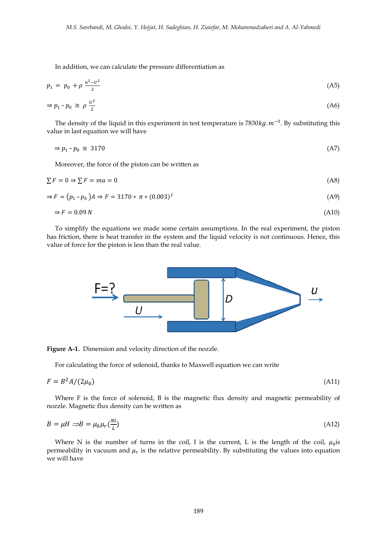In addition, we can calculate the pressure differentiation as

$$
p_1 = p_0 + \rho \frac{u^2 - u^2}{2} \tag{A5}
$$

$$
\Rightarrow p_1 - p_0 \cong \rho \frac{v^2}{2} \tag{A6}
$$

The density of the liquid in this experiment in test temperature is  $7830 kg$ .  $m^{-3}$ . By substituting this value in last equation we will have

$$
\Rightarrow p_1 - p_0 \cong 3170 \tag{A7}
$$

Moreover, the force of the piston can be written as

$$
\sum F = 0 \Rightarrow \sum F = ma = 0 \tag{A8}
$$

$$
\Rightarrow F = (p_1 - p_0)A \Rightarrow F = 3170 * \pi * (0.003)^2
$$
 (A9)

$$
\Rightarrow F = 0.09 \, N \tag{A10}
$$

 To simplify the equations we made some certain assumptions. In the real experiment, the piston has friction, there is heat transfer in the system and the liquid velocity is not continuous. Hence, this value of force for the piston is less than the real value.



**Figure A-1.** Dimension and velocity direction of the nozzle.

For calculating the force of solenoid, thanks to Maxwell equation we can write

$$
F = B^2 A / (2\mu_0) \tag{A11}
$$

 Where F is the force of solenoid, B is the magnetic flux density and magnetic permeability of nozzle. Magnetic flux density can be written as

$$
B = \mu H \implies B = \mu_0 \mu_r \left(\frac{NI}{L}\right) \tag{A12}
$$

Where N is the number of turns in the coil, I is the current, L is the length of the coil,  $\mu_0$  is permeability in vacuum and  $\mu_r$  is the relative permeability. By substituting the values into equation we will have